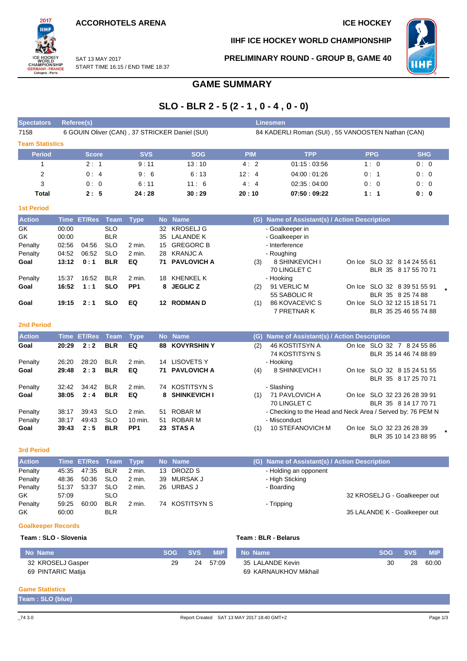**ACCORHOTELS ARENA ICE HOCKEY** 



**IIHF ICE HOCKEY WORLD CHAMPIONSHIP**

**PRELIMINARY ROUND - GROUP B, GAME 40**



SAT 13 MAY 2017 START TIME 16:15 / END TIME 18:37

# **GAME SUMMARY**

# **SLO - BLR 2 - 5 (2 - 1 , 0 - 4 , 0 - 0)**

| <b>Spectators</b>      | <b>Referee(s)</b> |               |            |             |           |                                                | <b>Linesmen</b>                                   |                                           |            |            |  |  |  |  |
|------------------------|-------------------|---------------|------------|-------------|-----------|------------------------------------------------|---------------------------------------------------|-------------------------------------------|------------|------------|--|--|--|--|
| 7158                   |                   |               |            |             |           | 6 GOUIN Oliver (CAN), 37 STRICKER Daniel (SUI) | 84 KADERLI Roman (SUI), 55 VANOOSTEN Nathan (CAN) |                                           |            |            |  |  |  |  |
| <b>Team Statistics</b> |                   |               |            |             |           |                                                |                                                   |                                           |            |            |  |  |  |  |
| <b>Period</b>          |                   | <b>Score</b>  |            | <b>SVS</b>  |           | <b>SOG</b>                                     | <b>PIM</b>                                        | <b>TPP</b>                                | <b>PPG</b> | <b>SHG</b> |  |  |  |  |
|                        |                   | 2:1           |            | 9:11        |           | 13:10                                          | 4:2                                               | 01.15:03.56                               | 1:0        | 0:0        |  |  |  |  |
| $\overline{2}$         |                   | 0:4           |            | 9:6         |           | 6:13                                           | 12:4                                              | 04.00:01.26                               | 0:1        | 0:0        |  |  |  |  |
| 3                      |                   | 0:0           |            | 6:11        |           | 11:6                                           | 4:4                                               | 02.35:04.00                               | 0:0        | 0:0        |  |  |  |  |
| <b>Total</b>           |                   | 2:5           |            | 24:28       |           | 30:29                                          | 20:10                                             | 07:50:09:22                               | 1:1        | 0: 0       |  |  |  |  |
| <b>1st Period</b>      |                   |               |            |             |           |                                                |                                                   |                                           |            |            |  |  |  |  |
| <b>Action</b>          | <b>Time</b>       | <b>ET/Res</b> | Team       | <b>Type</b> | <b>No</b> | <b>Name</b>                                    | (G)                                               | Name of Assistant(s) / Action Description |            |            |  |  |  |  |
| GK                     | 00:00             |               | <b>SLO</b> |             | 32        | KROSELJ G                                      |                                                   | - Goalkeeper in                           |            |            |  |  |  |  |
| GK                     | 00:00             |               | <b>BLR</b> |             | 35        | LALANDE K                                      |                                                   | - Goalkeeper in                           |            |            |  |  |  |  |
| Penalty                | 02:56             | 04:56         | <b>SLO</b> | 2 min.      | 15        | <b>GREGORC B</b>                               |                                                   | - Interference                            |            |            |  |  |  |  |

| Penalty | 02:56 | 04:56 | -SLO       | 2 min.            | 15 GREGORC B          |     | - Interference |                              |  |
|---------|-------|-------|------------|-------------------|-----------------------|-----|----------------|------------------------------|--|
| Penalty | 04:52 | 06:52 | <b>SLO</b> | $2$ min.          | 28 KRANJC A           |     | - Roughing     |                              |  |
| Goal    | 13:12 | 0:1   | <b>BLR</b> | EQ                | <b>71 PAVLOVICH A</b> | (3) | 8 SHINKEVICH I | On Ice SLO 32 8 14 24 55 61  |  |
|         |       |       |            |                   |                       |     | 70 LINGLET C   | BLR 35 8 17 55 70 71         |  |
| Penalty | 15:37 | 16:52 | <b>BLR</b> | $2 \text{ min}$ . | 18 KHENKEL K          |     | - Hooking      |                              |  |
| Goal    | 16:52 | 1:1   | <b>SLO</b> | PP <sub>1</sub>   | 8 JEGLIC Z            | (2) | 91 VERLIC M    | On Ice SLO 32 8 39 51 55 91  |  |
|         |       |       |            |                   |                       |     | 55 SABOLIC R   | BLR 35 8 25 74 88            |  |
| Goal    | 19:15 | 2:1   | <b>SLO</b> | EQ                | <b>12 RODMAN D</b>    | (1) | 86 KOVACEVIC S | On Ice SLO 32 12 15 18 51 71 |  |
|         |       |       |            |                   |                       |     | 7 PRETNAR K    | BLR 35 25 46 55 74 88        |  |

#### **2nd Period**

| <b>Action</b> |       | Time ET/Res Team Type |            |                    | No Name               |     | (G) Name of Assistant(s) / Action Description |                                                            |  |
|---------------|-------|-----------------------|------------|--------------------|-----------------------|-----|-----------------------------------------------|------------------------------------------------------------|--|
| Goal          | 20:29 | 2:2                   | <b>BLR</b> | EQ                 | 88 KOVYRSHIN Y        | (2) | 46 KOSTITSYN A                                | On Ice SLO 32 7 8 24 55 86                                 |  |
|               |       |                       |            |                    |                       |     | <b>74 KOSTITSYN S</b>                         | BLR 35 14 46 74 88 89                                      |  |
| Penalty       | 26:20 | 28:20                 | <b>BLR</b> | 2 min.             | 14 LISOVETS Y         |     | - Hooking                                     |                                                            |  |
| Goal          | 29:48 | 2:3                   | <b>BLR</b> | EQ                 | <b>71 PAVLOVICH A</b> | (4) | 8 SHINKEVICH I                                | On Ice SLO 32 8 15 24 51 55                                |  |
|               |       |                       |            |                    |                       |     |                                               | BLR 35 8 17 25 70 71                                       |  |
| Penalty       | 32:42 | 34:42                 | <b>BLR</b> | 2 min.             | 74 KOSTITSYN S        |     | - Slashing                                    |                                                            |  |
| Goal          | 38:05 | 2:4                   | <b>BLR</b> | EQ                 | 8 SHINKEVICH I        | (1) | 71 PAVLOVICH A                                | On Ice SLO 32 23 26 28 39 91                               |  |
|               |       |                       |            |                    |                       |     | 70 LINGLET C                                  | BLR 35 8 14 17 70 71                                       |  |
| Penalty       | 38:17 | 39:43                 | <b>SLO</b> | 2 min.             | 51 ROBAR M            |     |                                               | - Checking to the Head and Neck Area / Served by: 76 PEM N |  |
| Penalty       | 38:17 | 49:43                 | <b>SLO</b> | $10 \text{ min}$ . | 51 ROBAR M            |     | - Misconduct                                  |                                                            |  |
| Goal          | 39:43 | 2:5                   | <b>BLR</b> | PP <sub>1</sub>    | 23 STAS A             | (1) | 10 STEFANOVICH M                              | On Ice SLO 32 23 26 28 39                                  |  |
|               |       |                       |            |                    |                       |     |                                               | BLR 35 10 14 23 88 95                                      |  |

#### **3rd Period**

| <b>Action</b> |       | Time ET/Res Team Type |            |          |    | No Name        | (G) Name of Assistant(s) / Action Description |
|---------------|-------|-----------------------|------------|----------|----|----------------|-----------------------------------------------|
| Penalty       | 45.35 | 47:35                 | <b>BLR</b> | $2$ min. | 13 | DROZD S        | - Holding an opponent                         |
| Penalty       | 48:36 | 50:36                 | <b>SLO</b> | $2$ min. |    | 39 MURSAK J    | - High Sticking                               |
| Penalty       | 51:37 | 53:37                 | <b>SLO</b> | $2$ min. |    | 26 URBAS J     | - Boarding                                    |
| GK.           | 57:09 |                       | <b>SLO</b> |          |    |                | 32 KROSELJ G - Goalkeeper out                 |
| Penalty       | 59:25 | 60:00                 | <b>BLR</b> | $2$ min. |    | 74 KOSTITSYN S | - Tripping                                    |
| GK            | 60:00 |                       | <b>BLR</b> |          |    |                | 35 LALANDE K - Goalkeeper out                 |

#### **Goalkeeper Records**

#### **Team : SLO - Slovenia Team : BLR - Belarus**

| No Name            | <b>SOG</b> | SVS. | <b>MIP</b> | No Name               | <b>SOG</b> | <b>SVS</b> | <b>MIP</b> |
|--------------------|------------|------|------------|-----------------------|------------|------------|------------|
| 32 KROSELJ Gasper  | 29         | 24   | 57:09      | 35 LALANDE Kevin      | 30         | 28         | 60:00      |
| 69 PINTARIC Matiia |            |      |            | 69 KARNAUKHOV Mikhail |            |            |            |

### **Game Statistics**

**Team : SLO (blue)**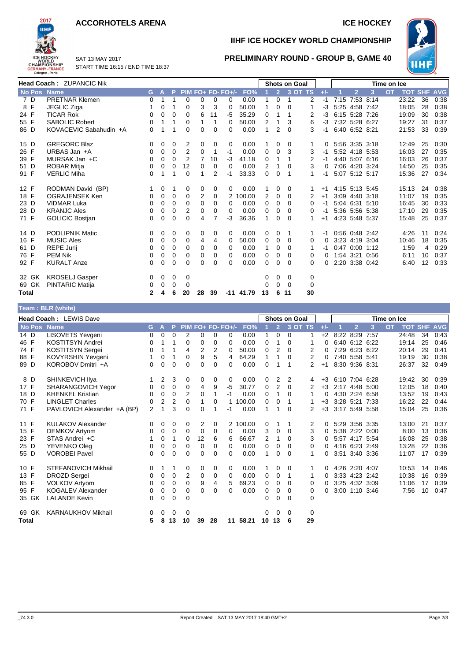## **ACCORHOTELS ARENA ICE HOCKEY**



**IIHF ICE HOCKEY WORLD CHAMPIONSHIP**

**PRELIMINARY ROUND - GROUP B, GAME 40**



SAT 13 MAY 2017 START TIME 16:15 / END TIME 18:37

|              | Head Coach: ZUPANCIC Nik |          |              |             |          |                |                |                   |             |    |                | <b>Shots on Goal</b> |          |          | Time on Ice |                |                |           |       |                    |      |  |
|--------------|--------------------------|----------|--------------|-------------|----------|----------------|----------------|-------------------|-------------|----|----------------|----------------------|----------|----------|-------------|----------------|----------------|-----------|-------|--------------------|------|--|
| No Pos Name  |                          | G.       | $\mathbf{A}$ | P.          |          |                |                | PIM FO+ FO- FO+/- | FO%         |    | $\overline{2}$ |                      | 3 OT TS  | $+/-$    |             | $\overline{2}$ | $\overline{3}$ | <b>OT</b> |       | <b>TOT SHF AVG</b> |      |  |
| 7 D          | <b>PRETNAR Klemen</b>    | 0        |              |             | 0        | 0              | 0              | 0                 | 0.00        |    | 0              |                      | 2        | $-1$     |             | 7:15 7:53 8:14 |                |           | 23:22 | 36                 | 0:38 |  |
| 8 F          | JEGLIC Ziga              |          | 0            | 1           | 0        | 3              | 3              | 0                 | 50.00       | 1  | 0              | 0                    | 1        | $-3$     |             | 5:25 4:58 7:42 |                |           | 18:05 | 28                 | 0:38 |  |
| 24 F         | <b>TICAR Rok</b>         | $\Omega$ | $\Omega$     | $\Omega$    | 0        | 6              | 11             | -5                | 35.29       | 0  |                |                      | 2        | $-3$     |             | 6:15 5:28 7:26 |                |           | 19:09 | 30                 | 0:38 |  |
| 55 F         | <b>SABOLIC Robert</b>    | 0        |              | 1           | 0        |                |                | 0                 | 50.00       | 2  |                | 3                    | 6        | -3       |             | 7:32 5:28 6:27 |                |           | 19:27 | 31                 | 0:37 |  |
| 86 D         | KOVACEVIC Sabahudin +A   | 0        | 1            | -1          | 0        | 0              | $\Omega$       | 0                 | 0.00        | 1  | 2              | $\Omega$             | 3        | $-1$     |             | 6:40 6:52 8:21 |                |           | 21:53 | 33                 | 0:39 |  |
| 15 D         | <b>GREGORC Blaz</b>      | 0        | 0            | 0           | 2        | 0              | 0              | 0                 | 0.00        |    | 0              | 0                    | 1        | 0        |             | 5:56 3:35 3:18 |                |           | 12:49 | 25                 | 0:30 |  |
| 26 F         | URBAS Jan $+A$           | 0        | 0            | 0           | 2        | 0              |                | $-1$              | 0.00        | 0  | 0              | 3                    | 3        | -1       |             | 5:52 4:18 5:53 |                |           | 16:03 | 27                 | 0:35 |  |
| 39 F         | MURSAK Jan +C            | 0        | 0            | 0           | 2        | $\overline{7}$ | 10             | $-3$              | 41.18       | 0  |                |                      | 2        | $-1$     |             | 4:40 5:07 6:16 |                |           | 16:03 | 26                 | 0:37 |  |
| 51 D         | ROBAR Mitja              | 0        | $\Omega$     | 0           | 12       | 0              | 0              | 0                 | 0.00        | 2  |                | $\Omega$             | 3        | $\Omega$ |             | 7:06 4:20 3:24 |                |           | 14:50 | 25                 | 0:35 |  |
| 91 F         | <b>VERLIC Miha</b>       | 0        |              |             | 0        | 1              | $\overline{2}$ | $-1$              | 33.33       | 0  | 0              |                      | 1        | $-1$     |             | 5:07 5:12 5:17 |                |           | 15:36 | 27                 | 0:34 |  |
| 12 F         | RODMAN David (BP)        | 1        | 0            | -1          | 0        | 0              | 0              | 0                 | 0.00        |    | 0              | 0                    |          | $+1$     |             | 4:15 5:13 5:45 |                |           | 15:13 | 24                 | 0:38 |  |
| 18 F         | OGRAJENSEK Ken           | 0        | $\Omega$     | $\Omega$    | 0        | $\overline{2}$ | $\Omega$       |                   | 2 100.00    | 2  | 0              | $\Omega$             | 2        | $+1$     |             | 3:09 4:40 3:18 |                |           | 11:07 | 19                 | 0:35 |  |
| 23 D         | <b>VIDMAR Luka</b>       | $\Omega$ | $\mathbf 0$  | $\Omega$    | 0        | 0              | 0              | 0                 | 0.00        | 0  | 0              | $\Omega$             | 0        | -1       |             | 5:04 6:31 5:10 |                |           | 16:45 | 30                 | 0:33 |  |
| 28 D         | <b>KRANJC Ales</b>       | 0        | $\mathbf 0$  | 0           | 2        | 0              | 0              | 0                 | 0.00        | 0  | 0              | $\Omega$             | 0        | -1       |             | 5:36 5:56 5:38 |                |           | 17:10 | 29                 | 0:35 |  |
| 71 F         | <b>GOLICIC Bostjan</b>   | 0        | $\Omega$     | $\Omega$    | $\Omega$ | 4              |                | $-3$              | 36.36       | 1  | 0              | $\Omega$             | 1        | $+1$     |             | 4:23 5:48 5:37 |                |           | 15:48 | 25                 | 0:37 |  |
| 14 D         | <b>PODLIPNIK Matic</b>   | 0        | 0            | 0           | 0        | 0              | 0              | 0                 | 0.00        | 0  | 0              |                      | 1        | -1       |             | 0:56 0:48 2:42 |                |           | 4:26  | 11                 | 0:24 |  |
| 16 F         | <b>MUSIC Ales</b>        | 0        | $\mathbf 0$  | 0           | 0        | 4              | 4              | 0                 | 50.00       | 0  | 0              | $\Omega$             | 0        | $\Omega$ |             | 3:23 4:19 3:04 |                |           | 10:46 | 18                 | 0:35 |  |
| 61 D         | <b>REPE Jurij</b>        | 0        | 0            | $\mathbf 0$ | 0        | 0              | 0              | 0                 | 0.00        | 1  | 0              | 0                    |          | -1       |             | 0:47 0:00 1:12 |                |           | 1:59  | 4                  | 0:29 |  |
| 76 F         | <b>PEM Nik</b>           | 0        | 0            | 0           | 0        | 0              | 0              | 0                 | 0.00        | 0  | 0              | 0                    | 0        | $\Omega$ |             | 1:54 3:21 0:56 |                |           | 6:11  | 10                 | 0:37 |  |
| 92 F         | <b>KURALT Anze</b>       | 0        | $\Omega$     | $\Omega$    | 0        | 0              | 0              | 0                 | 0.00        | 0  | 0              | $\Omega$             | $\Omega$ |          |             | 2:20 3:38 0:42 |                |           | 6:40  | 12                 | 0:33 |  |
| 32 GK        | <b>KROSELJ Gasper</b>    | 0        | 0            | 0           | 0        |                |                |                   |             | 0  | 0              | $\Omega$             | 0        |          |             |                |                |           |       |                    |      |  |
| 69 GK        | <b>PINTARIC Matija</b>   | 0        | 0            | 0           | $\Omega$ |                |                |                   |             | 0  | 0              | $\Omega$             | 0        |          |             |                |                |           |       |                    |      |  |
| <b>Total</b> |                          | 2        | 4            | 6           | 20       | 28             | 39             |                   | $-11$ 41.79 | 13 | 6              | 11                   | 30       |          |             |                |                |           |       |                    |      |  |

## **Team : BLR (white)**

|               | Head Coach: LEWIS Dave      |    |                |                |                |          |          |                   |          |                |                | <b>Shots on Goal</b> |         |       | Time on Ice    |                |      |           |            |            |            |
|---------------|-----------------------------|----|----------------|----------------|----------------|----------|----------|-------------------|----------|----------------|----------------|----------------------|---------|-------|----------------|----------------|------|-----------|------------|------------|------------|
| <b>No Pos</b> | <b>Name</b>                 | G. | A              | P.             |                |          |          | PIM FO+ FO- FO+/- | FO%      |                | $\overline{2}$ |                      | 3 OT TS | $+/-$ |                | $\overline{2}$ | 3    | <b>OT</b> | <b>TOT</b> | <b>SHF</b> | <b>AVG</b> |
| 14 D          | LISOVETS Yevgeni            | 0  | 0              | 0              | 2              | 0        | 0        | 0                 | 0.00     | 1              | 0              | $\Omega$             |         | $+2$  | 8:22           | 8:29           | 7:57 |           | 24:48      | 34         | 0:43       |
| 46 F          | <b>KOSTITSYN Andrei</b>     | 0  | 1              | 1              | 0              | 0        | 0        | $\Omega$          | 0.00     | 0              |                | 0                    |         | 0     |                | 6:40 6:12 6:22 |      |           | 19:14      | 25         | 0:46       |
| 74 F          | KOSTITSYN Sergei            | 0  | 1              | 1              | 4              | 2        | 2        | 0                 | 50.00    | 0              | 2              | 0                    | 2       | 0     |                | 7:29 6:23 6:22 |      |           | 20:14      | 29         | 0:41       |
| 88 F          | KOVYRSHIN Yevgeni           | 1  | 0              | 1              | 0              | 9        | 5        | 4                 | 64.29    | 1              | 1              | 0                    | 2       | 0     |                | 7:40 5:58 5:41 |      |           | 19:19      | 30         | 0:38       |
| 89 D          | KOROBOV Dmitri +A           | 0  | 0              | $\Omega$       | $\Omega$       | 0        | 0        | $\Omega$          | 0.00     | 0              | 1              | 1                    | 2       | $+1$  |                | 8:30 9:36 8:31 |      |           | 26:37      | 32         | 0:49       |
| 8 D           | SHINKEVICH IIya             |    | 2              | 3              | 0              | 0        | 0        | 0                 | 0.00     | 0              | 2              | 2                    | 4       | $+3$  | 6:10 7:04 6:28 |                |      |           | 19:42      | 30         | 0:39       |
| 17 F          | SHARANGOVICH Yegor          | 0  | 0              | 0              | 0              | 4        | 9        | -5                | 30.77    | 0              | 2              | $\Omega$             | 2       | $+3$  |                | 2:17 4:48 5:00 |      |           | 12:05      | 18         | 0:40       |
| 18 D          | <b>KHENKEL Kristian</b>     | 0  | 0              | 0              | $\overline{2}$ | 0        | 1        | -1                | 0.00     | 0              | 1              | 0                    |         | 0     |                | 4:30 2:24 6:58 |      |           | 13:52      | 19         | 0:43       |
| 70 F          | <b>LINGLET Charles</b>      | 0  | $\overline{2}$ | $\overline{2}$ | 0              | 1        | 0        | 1                 | 100.00   | 0              | 0              |                      |         | $+3$  |                | 3:28 5:21 7:33 |      |           | 16:22      | 22         | 0:44       |
| 71 F          | PAVLOVICH Alexander +A (BP) | 2  | 1              | 3              | $\Omega$       | $\Omega$ | 1        | -1                | 0.00     | 1              |                | $\Omega$             | 2       | $+3$  |                | 3:17 5:49 5:58 |      |           | 15:04      | 25         | 0:36       |
| 11 F          | <b>KULAKOV Alexander</b>    | 0  | 0              | 0              | 0              | 2        | 0        |                   | 2 100.00 | 0              |                |                      | 2       | 0     | 5:29 3:56 3:35 |                |      |           | 13:00      | 21         | 0:37       |
| 15 F          | <b>DEMKOV Artyom</b>        | 0  | 0              | 0              | 0              | 0        | 0        | 0                 | 0.00     | 3              | 0              | 0                    | 3       | 0     |                | 5:38 2:22 0:00 |      |           | 8:00       | 13         | 0:36       |
| 23 F          | STAS Andrei +C              |    | 0              | 1              | 0              | 12       | 6        | 6                 | 66.67    | $\overline{2}$ | 1              | 0                    | 3       | 0     |                | 5:57 4:17 5:54 |      |           | 16:08      | 25         | 0:38       |
| 25 D          | YEVENKO Oleg                | 0  | 0              | 0              | $\Omega$       | 0        | 0        | $\Omega$          | 0.00     | 0              | 0              | 0                    | 0       | 0     |                | 4:16 6:23 2:49 |      |           | 13:28      | 22         | 0:36       |
| 55 D          | <b>VOROBEI Pavel</b>        | 0  | 0              | 0              | $\Omega$       | 0        | 0        | 0                 | 0.00     | 1              | 0              | $\Omega$             |         | 0     |                | 3:51 3:40 3:36 |      |           | 11:07      | 17         | 0:39       |
| 10 F          | <b>STEFANOVICH Mikhail</b>  | 0  | 1              |                | 0              | 0        | 0        | $\Omega$          | 0.00     | 1              | 0              | 0                    |         | 0     |                | 4:26 2:20 4:07 |      |           | 10:53      | 14         | 0:46       |
| 13 F          | <b>DROZD Sergei</b>         | 0  | 0              | 0              | $\overline{2}$ | 0        | 0        | 0                 | 0.00     | 0              | 0              | 1                    |         | 0     |                | 3:33 4:23      | 2:42 |           | 10:38      | 16         | 0:39       |
| 85 F          | <b>VOLKOV Artyom</b>        | 0  | 0              | $\Omega$       | $\Omega$       | 9        | 4        | 5                 | 69.23    | 0              | 0              | 0                    | 0       | 0     |                | 3:25 4:32 3:09 |      |           | 11:06      | 17         | 0:39       |
| 95 F          | <b>KOGALEV Alexander</b>    | 0  | 0              | 0              | $\Omega$       | 0        | $\Omega$ | 0                 | 0.00     | 0              | 0              | 0                    | 0       | 0     |                | 3:00 1:10 3:46 |      |           | 7:56       | 10         | 0:47       |
| 35 GK         | <b>LALANDE Kevin</b>        | 0  | 0              | 0              | 0              |          |          |                   |          | 0              | 0              | 0                    | 0       |       |                |                |      |           |            |            |            |
| 69 GK         | <b>KARNAUKHOV Mikhail</b>   | 0  | 0              | $\Omega$       | 0              |          |          |                   |          | 0              | $\Omega$       | $\Omega$             | 0       |       |                |                |      |           |            |            |            |
| Total         |                             | 5  | 8              | 13             | 10             | 39       | 28       | 11                | 58.21    | 10             | 13             | 6                    | 29      |       |                |                |      |           |            |            |            |